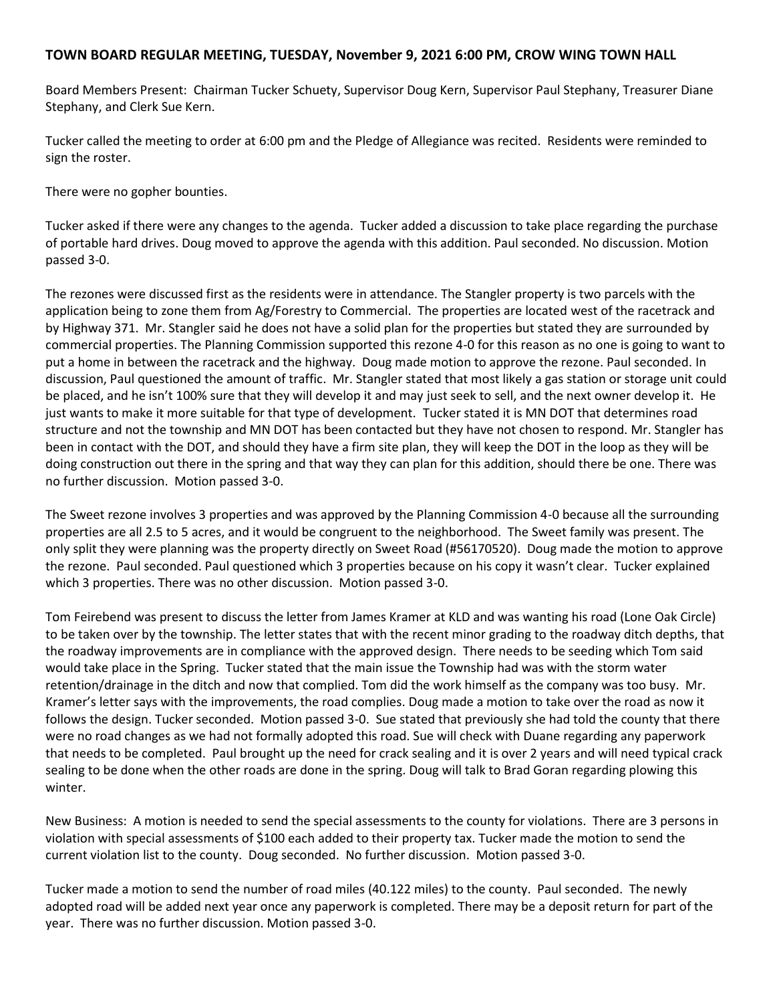## **TOWN BOARD REGULAR MEETING, TUESDAY, November 9, 2021 6:00 PM, CROW WING TOWN HALL**

Board Members Present: Chairman Tucker Schuety, Supervisor Doug Kern, Supervisor Paul Stephany, Treasurer Diane Stephany, and Clerk Sue Kern.

Tucker called the meeting to order at 6:00 pm and the Pledge of Allegiance was recited. Residents were reminded to sign the roster.

There were no gopher bounties.

Tucker asked if there were any changes to the agenda. Tucker added a discussion to take place regarding the purchase of portable hard drives. Doug moved to approve the agenda with this addition. Paul seconded. No discussion. Motion passed 3-0.

The rezones were discussed first as the residents were in attendance. The Stangler property is two parcels with the application being to zone them from Ag/Forestry to Commercial. The properties are located west of the racetrack and by Highway 371. Mr. Stangler said he does not have a solid plan for the properties but stated they are surrounded by commercial properties. The Planning Commission supported this rezone 4-0 for this reason as no one is going to want to put a home in between the racetrack and the highway. Doug made motion to approve the rezone. Paul seconded. In discussion, Paul questioned the amount of traffic. Mr. Stangler stated that most likely a gas station or storage unit could be placed, and he isn't 100% sure that they will develop it and may just seek to sell, and the next owner develop it. He just wants to make it more suitable for that type of development. Tucker stated it is MN DOT that determines road structure and not the township and MN DOT has been contacted but they have not chosen to respond. Mr. Stangler has been in contact with the DOT, and should they have a firm site plan, they will keep the DOT in the loop as they will be doing construction out there in the spring and that way they can plan for this addition, should there be one. There was no further discussion. Motion passed 3-0.

The Sweet rezone involves 3 properties and was approved by the Planning Commission 4-0 because all the surrounding properties are all 2.5 to 5 acres, and it would be congruent to the neighborhood. The Sweet family was present. The only split they were planning was the property directly on Sweet Road (#56170520). Doug made the motion to approve the rezone. Paul seconded. Paul questioned which 3 properties because on his copy it wasn't clear. Tucker explained which 3 properties. There was no other discussion. Motion passed 3-0.

Tom Feirebend was present to discuss the letter from James Kramer at KLD and was wanting his road (Lone Oak Circle) to be taken over by the township. The letter states that with the recent minor grading to the roadway ditch depths, that the roadway improvements are in compliance with the approved design. There needs to be seeding which Tom said would take place in the Spring. Tucker stated that the main issue the Township had was with the storm water retention/drainage in the ditch and now that complied. Tom did the work himself as the company was too busy. Mr. Kramer's letter says with the improvements, the road complies. Doug made a motion to take over the road as now it follows the design. Tucker seconded. Motion passed 3-0. Sue stated that previously she had told the county that there were no road changes as we had not formally adopted this road. Sue will check with Duane regarding any paperwork that needs to be completed. Paul brought up the need for crack sealing and it is over 2 years and will need typical crack sealing to be done when the other roads are done in the spring. Doug will talk to Brad Goran regarding plowing this winter.

New Business: A motion is needed to send the special assessments to the county for violations. There are 3 persons in violation with special assessments of \$100 each added to their property tax. Tucker made the motion to send the current violation list to the county. Doug seconded. No further discussion. Motion passed 3-0.

Tucker made a motion to send the number of road miles (40.122 miles) to the county. Paul seconded. The newly adopted road will be added next year once any paperwork is completed. There may be a deposit return for part of the year. There was no further discussion. Motion passed 3-0.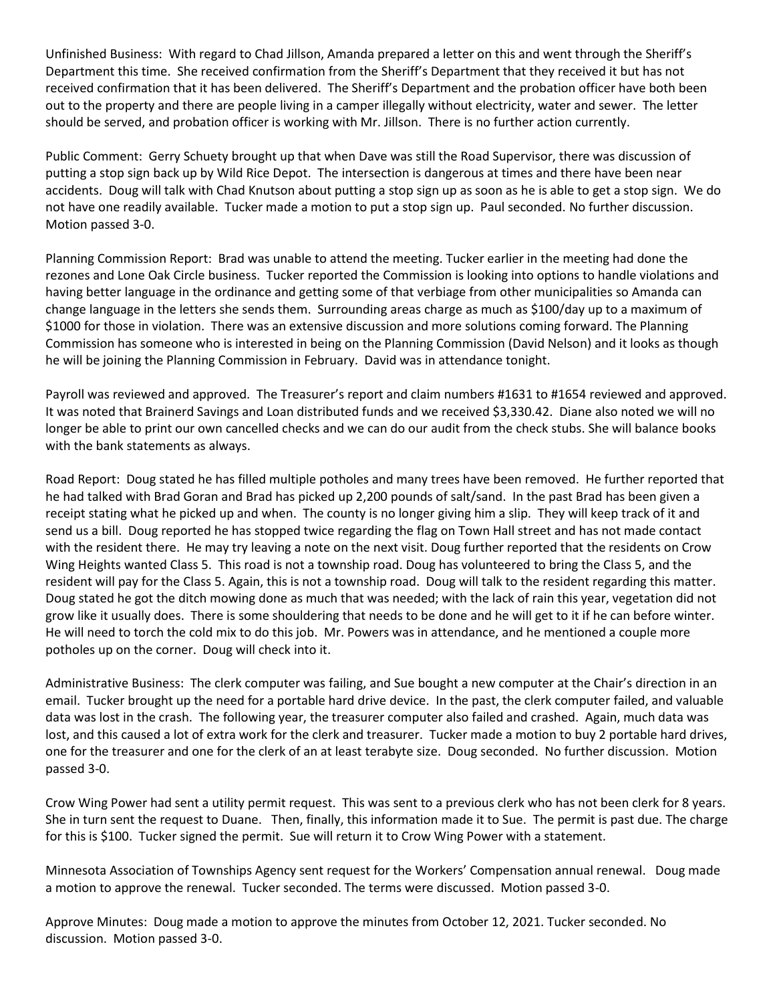Unfinished Business: With regard to Chad Jillson, Amanda prepared a letter on this and went through the Sheriff's Department this time. She received confirmation from the Sheriff's Department that they received it but has not received confirmation that it has been delivered. The Sheriff's Department and the probation officer have both been out to the property and there are people living in a camper illegally without electricity, water and sewer. The letter should be served, and probation officer is working with Mr. Jillson. There is no further action currently.

Public Comment: Gerry Schuety brought up that when Dave was still the Road Supervisor, there was discussion of putting a stop sign back up by Wild Rice Depot. The intersection is dangerous at times and there have been near accidents. Doug will talk with Chad Knutson about putting a stop sign up as soon as he is able to get a stop sign. We do not have one readily available. Tucker made a motion to put a stop sign up. Paul seconded. No further discussion. Motion passed 3-0.

Planning Commission Report: Brad was unable to attend the meeting. Tucker earlier in the meeting had done the rezones and Lone Oak Circle business. Tucker reported the Commission is looking into options to handle violations and having better language in the ordinance and getting some of that verbiage from other municipalities so Amanda can change language in the letters she sends them. Surrounding areas charge as much as \$100/day up to a maximum of \$1000 for those in violation. There was an extensive discussion and more solutions coming forward. The Planning Commission has someone who is interested in being on the Planning Commission (David Nelson) and it looks as though he will be joining the Planning Commission in February. David was in attendance tonight.

Payroll was reviewed and approved. The Treasurer's report and claim numbers #1631 to #1654 reviewed and approved. It was noted that Brainerd Savings and Loan distributed funds and we received \$3,330.42. Diane also noted we will no longer be able to print our own cancelled checks and we can do our audit from the check stubs. She will balance books with the bank statements as always.

Road Report: Doug stated he has filled multiple potholes and many trees have been removed. He further reported that he had talked with Brad Goran and Brad has picked up 2,200 pounds of salt/sand. In the past Brad has been given a receipt stating what he picked up and when. The county is no longer giving him a slip. They will keep track of it and send us a bill. Doug reported he has stopped twice regarding the flag on Town Hall street and has not made contact with the resident there. He may try leaving a note on the next visit. Doug further reported that the residents on Crow Wing Heights wanted Class 5. This road is not a township road. Doug has volunteered to bring the Class 5, and the resident will pay for the Class 5. Again, this is not a township road. Doug will talk to the resident regarding this matter. Doug stated he got the ditch mowing done as much that was needed; with the lack of rain this year, vegetation did not grow like it usually does. There is some shouldering that needs to be done and he will get to it if he can before winter. He will need to torch the cold mix to do this job. Mr. Powers was in attendance, and he mentioned a couple more potholes up on the corner. Doug will check into it.

Administrative Business: The clerk computer was failing, and Sue bought a new computer at the Chair's direction in an email. Tucker brought up the need for a portable hard drive device. In the past, the clerk computer failed, and valuable data was lost in the crash. The following year, the treasurer computer also failed and crashed. Again, much data was lost, and this caused a lot of extra work for the clerk and treasurer. Tucker made a motion to buy 2 portable hard drives, one for the treasurer and one for the clerk of an at least terabyte size. Doug seconded. No further discussion. Motion passed 3-0.

Crow Wing Power had sent a utility permit request. This was sent to a previous clerk who has not been clerk for 8 years. She in turn sent the request to Duane. Then, finally, this information made it to Sue. The permit is past due. The charge for this is \$100. Tucker signed the permit. Sue will return it to Crow Wing Power with a statement.

Minnesota Association of Townships Agency sent request for the Workers' Compensation annual renewal. Doug made a motion to approve the renewal. Tucker seconded. The terms were discussed. Motion passed 3-0.

Approve Minutes: Doug made a motion to approve the minutes from October 12, 2021. Tucker seconded. No discussion. Motion passed 3-0.